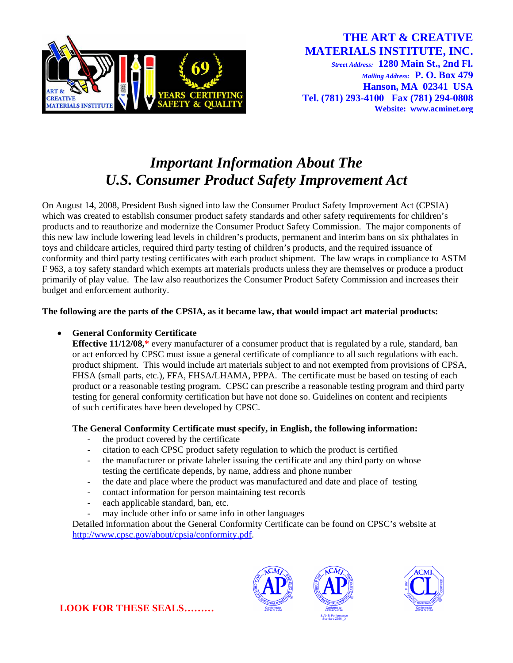

# *Important Information About The U.S. Consumer Product Safety Improvement Act*

On August 14, 2008, President Bush signed into law the Consumer Product Safety Improvement Act (CPSIA) which was created to establish consumer product safety standards and other safety requirements for children's products and to reauthorize and modernize the Consumer Product Safety Commission. The major components of this new law include lowering lead levels in children's products, permanent and interim bans on six phthalates in toys and childcare articles, required third party testing of children's products, and the required issuance of conformity and third party testing certificates with each product shipment. The law wraps in compliance to ASTM F 963, a toy safety standard which exempts art materials products unless they are themselves or produce a product primarily of play value. The law also reauthorizes the Consumer Product Safety Commission and increases their budget and enforcement authority.

#### **The following are the parts of the CPSIA, as it became law, that would impact art material products:**

## • **General Conformity Certificate**

**Effective 11/12/08,\*** every manufacturer of a consumer product that is regulated by a rule, standard, ban or act enforced by CPSC must issue a general certificate of compliance to all such regulations with each. product shipment. This would include art materials subject to and not exempted from provisions of CPSA, FHSA (small parts, etc.), FFA, FHSA/LHAMA, PPPA. The certificate must be based on testing of each product or a reasonable testing program. CPSC can prescribe a reasonable testing program and third party testing for general conformity certification but have not done so. Guidelines on content and recipients of such certificates have been developed by CPSC.

## **The General Conformity Certificate must specify, in English, the following information:**

- the product covered by the certificate
- citation to each CPSC product safety regulation to which the product is certified
- the manufacturer or private labeler issuing the certificate and any third party on whose testing the certificate depends, by name, address and phone number
- the date and place where the product was manufactured and date and place of testing
- contact information for person maintaining test records
- each applicable standard, ban, etc.
- may include other info or same info in other languages

Detailed information about the General Conformity Certificate can be found on CPSC's website at [http://www.cpsc.gov/about/cpsia/conformity.pdf.](http://www.cpsc.gov/about/cpsia/conformity.pdf)







**LOOK FOR THESE SEALS………**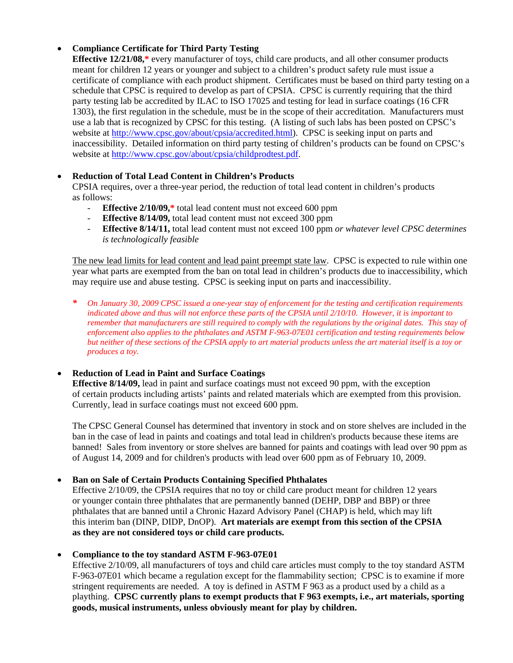# • **Compliance Certificate for Third Party Testing**

**Effective 12/21/08,\*** every manufacturer of toys, child care products, and all other consumer products meant for children 12 years or younger and subject to a children's product safety rule must issue a certificate of compliance with each product shipment. Certificates must be based on third party testing on a schedule that CPSC is required to develop as part of CPSIA. CPSC is currently requiring that the third party testing lab be accredited by ILAC to ISO 17025 and testing for lead in surface coatings (16 CFR 1303), the first regulation in the schedule, must be in the scope of their accreditation. Manufacturers must use a lab that is recognized by CPSC for this testing. (A listing of such labs has been posted on CPSC's website at<http://www.cpsc.gov/about/cpsia/accredited.html>). CPSC is seeking input on parts and inaccessibility. Detailed information on third party testing of children's products can be found on CPSC's website at<http://www.cpsc.gov/about/cpsia/childprodtest.pdf>.

## • **Reduction of Total Lead Content in Children's Products**

CPSIA requires, over a three-year period, the reduction of total lead content in children's products as follows:

- **Effective 2/10/09,\*** total lead content must not exceed 600 ppm
- **Effective 8/14/09,** total lead content must not exceed 300 ppm
- **Effective 8/14/11,** total lead content must not exceed 100 ppm *or whatever level CPSC determines is technologically feasible*

The new lead limits for lead content and lead paint preempt state law. CPSC is expected to rule within one year what parts are exempted from the ban on total lead in children's products due to inaccessibility, which may require use and abuse testing. CPSC is seeking input on parts and inaccessibility.

*\* On January 30, 2009 CPSC issued a one-year stay of enforcement for the testing and certification requirements indicated above and thus will not enforce these parts of the CPSIA until 2/10/10. However, it is important to remember that manufacturers are still required to comply with the regulations by the original dates. This stay of enforcement also applies to the phthalates and ASTM F-963-07E01 certification and testing requirements below but neither of these sections of the CPSIA apply to art material products unless the art material itself is a toy or produces a toy.* 

## • **Reduction of Lead in Paint and Surface Coatings**

**Effective 8/14/09,** lead in paint and surface coatings must not exceed 90 ppm, with the exception of certain products including artists' paints and related materials which are exempted from this provision. Currently, lead in surface coatings must not exceed 600 ppm.

The CPSC General Counsel has determined that inventory in stock and on store shelves are included in the ban in the case of lead in paints and coatings and total lead in children's products because these items are banned! Sales from inventory or store shelves are banned for paints and coatings with lead over 90 ppm as of August 14, 2009 and for children's products with lead over 600 ppm as of February 10, 2009.

• **Ban on Sale of Certain Products Containing Specified Phthalates** 

Effective 2/10/09, the CPSIA requires that no toy or child care product meant for children 12 years or younger contain three phthalates that are permanently banned (DEHP, DBP and BBP) or three phthalates that are banned until a Chronic Hazard Advisory Panel (CHAP) is held, which may lift this interim ban (DINP, DIDP, DnOP). **Art materials are exempt from this section of the CPSIA as they are not considered toys or child care products.**

## • **Compliance to the toy standard ASTM F-963-07E01**

Effective 2/10/09, all manufacturers of toys and child care articles must comply to the toy standard ASTM F-963-07E01 which became a regulation except for the flammability section; CPSC is to examine if more stringent requirements are needed. A toy is defined in ASTM F 963 as a product used by a child as a plaything. **CPSC currently plans to exempt products that F 963 exempts, i.e., art materials, sporting goods, musical instruments, unless obviously meant for play by children.**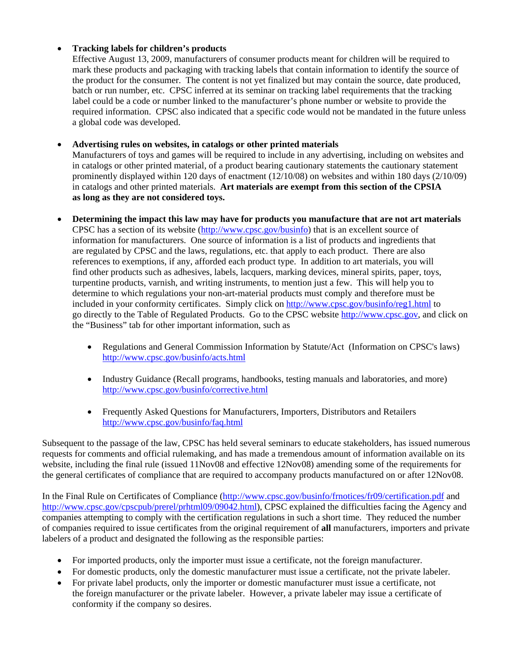## • **Tracking labels for children's products**

Effective August 13, 2009, manufacturers of consumer products meant for children will be required to mark these products and packaging with tracking labels that contain information to identify the source of the product for the consumer. The content is not yet finalized but may contain the source, date produced, batch or run number, etc. CPSC inferred at its seminar on tracking label requirements that the tracking label could be a code or number linked to the manufacturer's phone number or website to provide the required information. CPSC also indicated that a specific code would not be mandated in the future unless a global code was developed.

#### • **Advertising rules on websites, in catalogs or other printed materials**

Manufacturers of toys and games will be required to include in any advertising, including on websites and in catalogs or other printed material, of a product bearing cautionary statements the cautionary statement prominently displayed within 120 days of enactment (12/10/08) on websites and within 180 days (2/10/09) in catalogs and other printed materials. **Art materials are exempt from this section of the CPSIA as long as they are not considered toys.**

- **Determining the impact this law may have for products you manufacture that are not art materials** CPSC has a section of its website [\(http://www.cpsc.gov/businfo\)](http://www.cpsc.gov/businfo) that is an excellent source of information for manufacturers. One source of information is a list of products and ingredients that are regulated by CPSC and the laws, regulations, etc. that apply to each product. There are also references to exemptions, if any, afforded each product type. In addition to art materials, you will find other products such as adhesives, labels, lacquers, marking devices, mineral spirits, paper, toys, turpentine products, varnish, and writing instruments, to mention just a few. This will help you to determine to which regulations your non-art-material products must comply and therefore must be included in your conformity certificates. Simply click on <http://www.cpsc.gov/businfo/reg1.html>to go directly to the Table of Regulated Products. Go to the CPSC website [http://www.cpsc.gov](http://www.cpsc.gov/), and click on the "Business" tab for other important information, such as
	- Regulations and General Commission Information by Statute/Act (Information on CPSC's laws) <http://www.cpsc.gov/businfo/acts.html>
	- Industry Guidance (Recall programs, handbooks, testing manuals and laboratories, and more) <http://www.cpsc.gov/businfo/corrective.html>
	- Frequently Asked Questions for Manufacturers, Importers, Distributors and Retailers <http://www.cpsc.gov/businfo/faq.html>

Subsequent to the passage of the law, CPSC has held several seminars to educate stakeholders, has issued numerous requests for comments and official rulemaking, and has made a tremendous amount of information available on its website, including the final rule (issued 11Nov08 and effective 12Nov08) amending some of the requirements for the general certificates of compliance that are required to accompany products manufactured on or after 12Nov08.

In the Final Rule on Certificates of Compliance [\(http://www.cpsc.gov/businfo/frnotices/fr09/certification.pdf](http://www.cpsc.gov/businfo/frnotices/fr09/certification.pdf) and [http://www.cpsc.gov/cpscpub/prerel/prhtml09/09042.html\)](http://www.cpsc.gov/cpscpub/prerel/prhtml09/09042.html), CPSC explained the difficulties facing the Agency and companies attempting to comply with the certification regulations in such a short time. They reduced the number of companies required to issue certificates from the original requirement of **all** manufacturers, importers and private labelers of a product and designated the following as the responsible parties:

- For imported products, only the importer must issue a certificate, not the foreign manufacturer.
- For domestic products, only the domestic manufacturer must issue a certificate, not the private labeler.
- For private label products, only the importer or domestic manufacturer must issue a certificate, not the foreign manufacturer or the private labeler. However, a private labeler may issue a certificate of conformity if the company so desires.